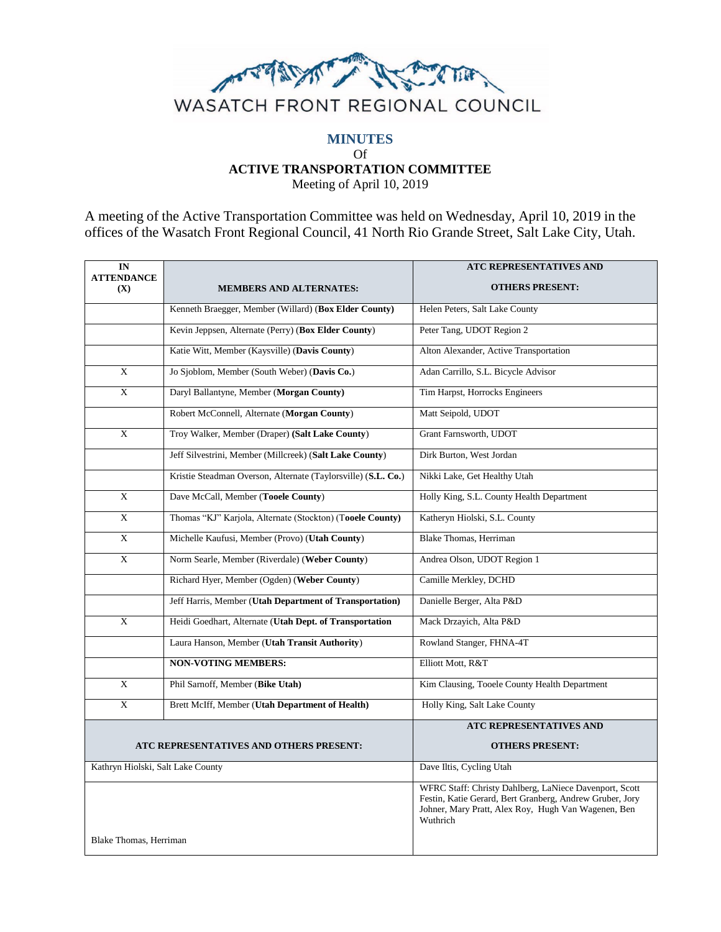

## **MINUTES** Of **ACTIVE TRANSPORTATION COMMITTEE**

Meeting of April 10, 2019

A meeting of the Active Transportation Committee was held on Wednesday, April 10, 2019 in the offices of the Wasatch Front Regional Council, 41 North Rio Grande Street, Salt Lake City, Utah.

| IN                                      |                                                               | <b>ATC REPRESENTATIVES AND</b>                                                                                                                                                        |
|-----------------------------------------|---------------------------------------------------------------|---------------------------------------------------------------------------------------------------------------------------------------------------------------------------------------|
| <b>ATTENDANCE</b><br>(X)                | <b>MEMBERS AND ALTERNATES:</b>                                | <b>OTHERS PRESENT:</b>                                                                                                                                                                |
|                                         | Kenneth Braegger, Member (Willard) (Box Elder County)         | Helen Peters, Salt Lake County                                                                                                                                                        |
|                                         | Kevin Jeppsen, Alternate (Perry) (Box Elder County)           | Peter Tang, UDOT Region 2                                                                                                                                                             |
|                                         | Katie Witt, Member (Kaysville) (Davis County)                 | Alton Alexander, Active Transportation                                                                                                                                                |
| X                                       | Jo Sjoblom, Member (South Weber) (Davis Co.)                  | Adan Carrillo, S.L. Bicycle Advisor                                                                                                                                                   |
| X                                       | Daryl Ballantyne, Member (Morgan County)                      | Tim Harpst, Horrocks Engineers                                                                                                                                                        |
|                                         | Robert McConnell, Alternate (Morgan County)                   | Matt Seipold, UDOT                                                                                                                                                                    |
| X                                       | Troy Walker, Member (Draper) (Salt Lake County)               | Grant Farnsworth, UDOT                                                                                                                                                                |
|                                         | Jeff Silvestrini, Member (Millcreek) (Salt Lake County)       | Dirk Burton, West Jordan                                                                                                                                                              |
|                                         | Kristie Steadman Overson, Alternate (Taylorsville) (S.L. Co.) | Nikki Lake, Get Healthy Utah                                                                                                                                                          |
| X                                       | Dave McCall, Member (Tooele County)                           | Holly King, S.L. County Health Department                                                                                                                                             |
| X                                       | Thomas "KJ" Karjola, Alternate (Stockton) (Tooele County)     | Katheryn Hiolski, S.L. County                                                                                                                                                         |
| $\mathbf{X}$                            | Michelle Kaufusi, Member (Provo) (Utah County)                | Blake Thomas, Herriman                                                                                                                                                                |
| X                                       | Norm Searle, Member (Riverdale) (Weber County)                | Andrea Olson, UDOT Region 1                                                                                                                                                           |
|                                         | Richard Hyer, Member (Ogden) (Weber County)                   | Camille Merkley, DCHD                                                                                                                                                                 |
|                                         | Jeff Harris, Member (Utah Department of Transportation)       | Danielle Berger, Alta P&D                                                                                                                                                             |
| X                                       | Heidi Goedhart, Alternate (Utah Dept. of Transportation       | Mack Drzayich, Alta P&D                                                                                                                                                               |
|                                         | Laura Hanson, Member (Utah Transit Authority)                 | Rowland Stanger, FHNA-4T                                                                                                                                                              |
|                                         | <b>NON-VOTING MEMBERS:</b>                                    | Elliott Mott, R&T                                                                                                                                                                     |
| $\mathbf{X}$                            | Phil Sarnoff, Member (Bike Utah)                              | Kim Clausing, Tooele County Health Department                                                                                                                                         |
| X                                       | Brett McIff, Member (Utah Department of Health)               | Holly King, Salt Lake County                                                                                                                                                          |
|                                         |                                                               | ATC REPRESENTATIVES AND                                                                                                                                                               |
| ATC REPRESENTATIVES AND OTHERS PRESENT: |                                                               | <b>OTHERS PRESENT:</b>                                                                                                                                                                |
| Kathryn Hiolski, Salt Lake County       |                                                               | Dave Iltis, Cycling Utah                                                                                                                                                              |
|                                         |                                                               | WFRC Staff: Christy Dahlberg, LaNiece Davenport, Scott<br>Festin, Katie Gerard, Bert Granberg, Andrew Gruber, Jory<br>Johner, Mary Pratt, Alex Roy, Hugh Van Wagenen, Ben<br>Wuthrich |
| Blake Thomas, Herriman                  |                                                               |                                                                                                                                                                                       |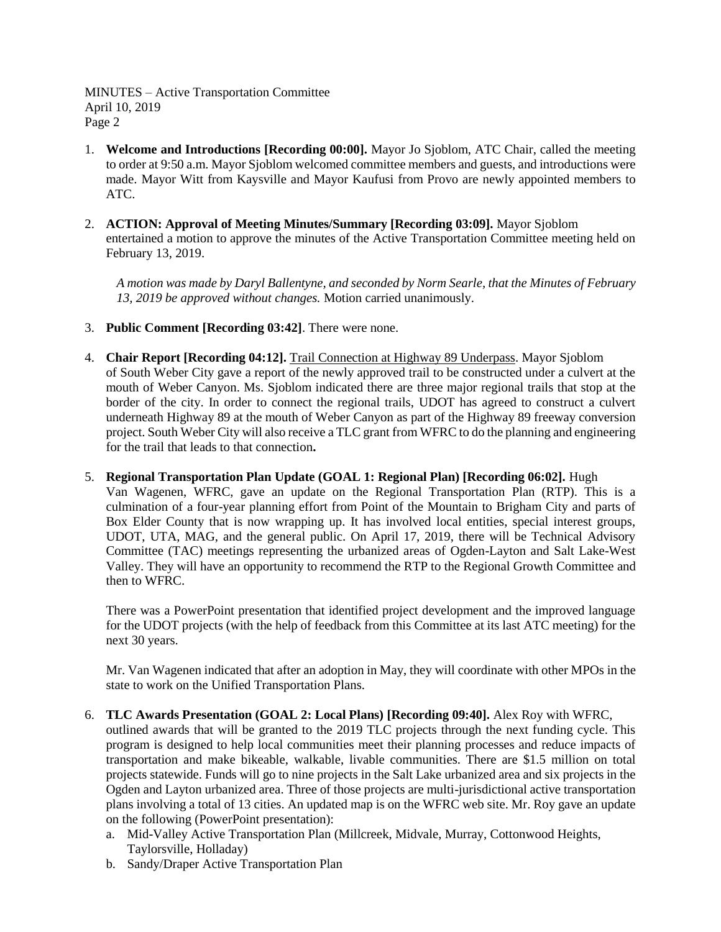MINUTES – Active Transportation Committee April 10, 2019 Page 2

- 1. **Welcome and Introductions [Recording 00:00].** Mayor Jo Sjoblom, ATC Chair, called the meeting to order at 9:50 a.m. Mayor Sjoblom welcomed committee members and guests, and introductions were made. Mayor Witt from Kaysville and Mayor Kaufusi from Provo are newly appointed members to ATC.
- 2. **ACTION: Approval of Meeting Minutes/Summary [Recording 03:09].** Mayor Sjoblom entertained a motion to approve the minutes of the Active Transportation Committee meeting held on February 13, 2019.

*A motion was made by Daryl Ballentyne, and seconded by Norm Searle, that the Minutes of February 13, 2019 be approved without changes.* Motion carried unanimously.

- 3. **Public Comment [Recording 03:42]**. There were none.
- 4. **Chair Report [Recording 04:12].** Trail Connection at Highway 89 Underpass. Mayor Sjoblom of South Weber City gave a report of the newly approved trail to be constructed under a culvert at the mouth of Weber Canyon. Ms. Sjoblom indicated there are three major regional trails that stop at the border of the city. In order to connect the regional trails, UDOT has agreed to construct a culvert underneath Highway 89 at the mouth of Weber Canyon as part of the Highway 89 freeway conversion project. South Weber City will also receive a TLC grant from WFRC to do the planning and engineering for the trail that leads to that connection**.**
- 5. **Regional Transportation Plan Update (GOAL 1: Regional Plan) [Recording 06:02].** Hugh Van Wagenen, WFRC, gave an update on the Regional Transportation Plan (RTP). This is a culmination of a four-year planning effort from Point of the Mountain to Brigham City and parts of Box Elder County that is now wrapping up. It has involved local entities, special interest groups, UDOT, UTA, MAG, and the general public. On April 17, 2019, there will be Technical Advisory Committee (TAC) meetings representing the urbanized areas of Ogden-Layton and Salt Lake-West Valley. They will have an opportunity to recommend the RTP to the Regional Growth Committee and then to WFRC.

There was a PowerPoint presentation that identified project development and the improved language for the UDOT projects (with the help of feedback from this Committee at its last ATC meeting) for the next 30 years.

Mr. Van Wagenen indicated that after an adoption in May, they will coordinate with other MPOs in the state to work on the Unified Transportation Plans.

## 6. **TLC Awards Presentation (GOAL 2: Local Plans) [Recording 09:40].** Alex Roy with WFRC,

outlined awards that will be granted to the 2019 TLC projects through the next funding cycle. This program is designed to help local communities meet their planning processes and reduce impacts of transportation and make bikeable, walkable, livable communities. There are \$1.5 million on total projects statewide. Funds will go to nine projects in the Salt Lake urbanized area and six projects in the Ogden and Layton urbanized area. Three of those projects are multi-jurisdictional active transportation plans involving a total of 13 cities. An updated map is on the WFRC web site. Mr. Roy gave an update on the following (PowerPoint presentation):

- a. Mid-Valley Active Transportation Plan (Millcreek, Midvale, Murray, Cottonwood Heights, Taylorsville, Holladay)
- b. Sandy/Draper Active Transportation Plan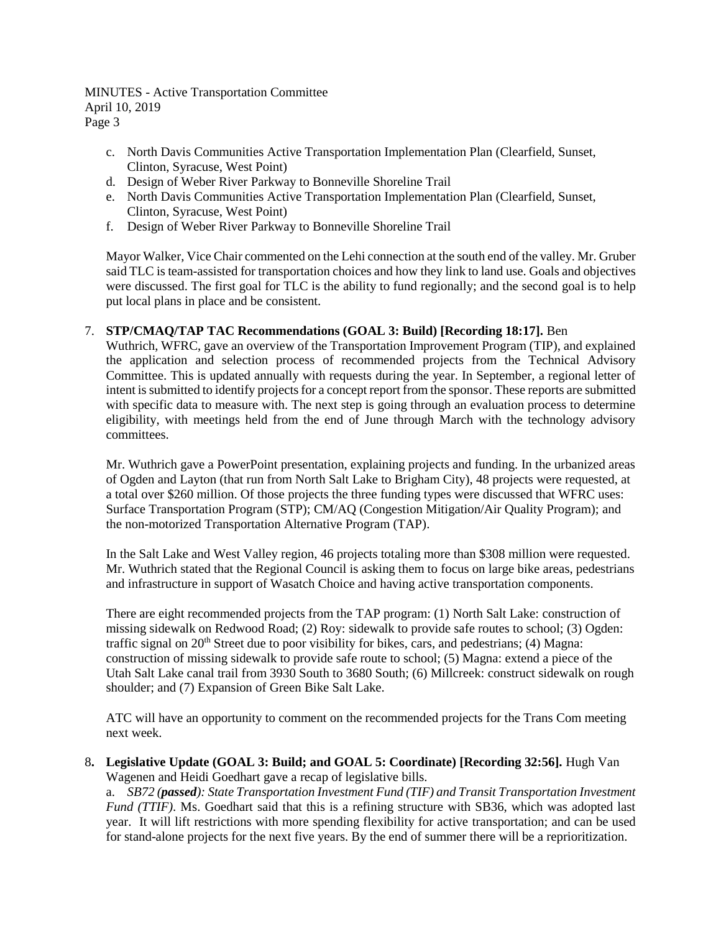MINUTES - Active Transportation Committee April 10, 2019 Page 3

- c. North Davis Communities Active Transportation Implementation Plan (Clearfield, Sunset, Clinton, Syracuse, West Point)
- d. Design of Weber River Parkway to Bonneville Shoreline Trail
- e. North Davis Communities Active Transportation Implementation Plan (Clearfield, Sunset, Clinton, Syracuse, West Point)
- f. Design of Weber River Parkway to Bonneville Shoreline Trail

Mayor Walker, Vice Chair commented on the Lehi connection at the south end of the valley. Mr. Gruber said TLC is team-assisted for transportation choices and how they link to land use. Goals and objectives were discussed. The first goal for TLC is the ability to fund regionally; and the second goal is to help put local plans in place and be consistent.

## 7. **STP/CMAQ/TAP TAC Recommendations (GOAL 3: Build) [Recording 18:17].** Ben

Wuthrich, WFRC, gave an overview of the Transportation Improvement Program (TIP), and explained the application and selection process of recommended projects from the Technical Advisory Committee. This is updated annually with requests during the year. In September, a regional letter of intent is submitted to identify projects for a concept report from the sponsor. These reports are submitted with specific data to measure with. The next step is going through an evaluation process to determine eligibility, with meetings held from the end of June through March with the technology advisory committees.

Mr. Wuthrich gave a PowerPoint presentation, explaining projects and funding. In the urbanized areas of Ogden and Layton (that run from North Salt Lake to Brigham City), 48 projects were requested, at a total over \$260 million. Of those projects the three funding types were discussed that WFRC uses: Surface Transportation Program (STP); CM/AQ (Congestion Mitigation/Air Quality Program); and the non-motorized Transportation Alternative Program (TAP).

In the Salt Lake and West Valley region, 46 projects totaling more than \$308 million were requested. Mr. Wuthrich stated that the Regional Council is asking them to focus on large bike areas, pedestrians and infrastructure in support of Wasatch Choice and having active transportation components.

There are eight recommended projects from the TAP program: (1) North Salt Lake: construction of missing sidewalk on Redwood Road; (2) Roy: sidewalk to provide safe routes to school; (3) Ogden: traffic signal on  $20<sup>th</sup>$  Street due to poor visibility for bikes, cars, and pedestrians; (4) Magna: construction of missing sidewalk to provide safe route to school; (5) Magna: extend a piece of the Utah Salt Lake canal trail from 3930 South to 3680 South; (6) Millcreek: construct sidewalk on rough shoulder; and (7) Expansion of Green Bike Salt Lake.

ATC will have an opportunity to comment on the recommended projects for the Trans Com meeting next week.

8**. Legislative Update (GOAL 3: Build; and GOAL 5: Coordinate) [Recording 32:56].** Hugh Van Wagenen and Heidi Goedhart gave a recap of legislative bills.

a. *SB72 (passed): State Transportation Investment Fund (TIF) and Transit Transportation Investment Fund (TTIF)*. Ms. Goedhart said that this is a refining structure with SB36, which was adopted last year. It will lift restrictions with more spending flexibility for active transportation; and can be used for stand-alone projects for the next five years. By the end of summer there will be a reprioritization.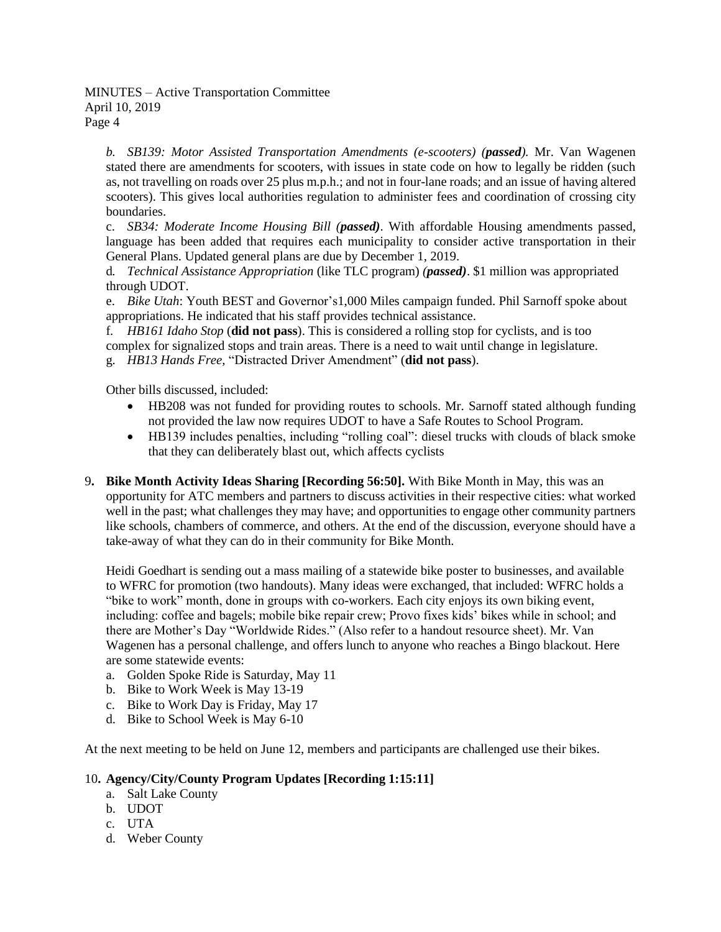MINUTES – Active Transportation Committee April 10, 2019 Page 4

*b. SB139: Motor Assisted Transportation Amendments (e-scooters) (passed).* Mr. Van Wagenen stated there are amendments for scooters, with issues in state code on how to legally be ridden (such as, not travelling on roads over 25 plus m.p.h.; and not in four-lane roads; and an issue of having altered scooters). This gives local authorities regulation to administer fees and coordination of crossing city boundaries.

c. *SB34: Moderate Income Housing Bill (passed)*. With affordable Housing amendments passed, language has been added that requires each municipality to consider active transportation in their General Plans. Updated general plans are due by December 1, 2019.

d*. Technical Assistance Appropriation* (like TLC program) *(passed)*. \$1 million was appropriated through UDOT.

e. *Bike Utah*: Youth BEST and Governor's1,000 Miles campaign funded. Phil Sarnoff spoke about appropriations. He indicated that his staff provides technical assistance.

f*. HB161 Idaho Stop* (**did not pass**). This is considered a rolling stop for cyclists, and is too complex for signalized stops and train areas. There is a need to wait until change in legislature.

g. *HB13 Hands Free,* "Distracted Driver Amendment" (**did not pass**).

Other bills discussed, included:

- HB208 was not funded for providing routes to schools. Mr. Sarnoff stated although funding not provided the law now requires UDOT to have a Safe Routes to School Program.
- HB139 includes penalties, including "rolling coal": diesel trucks with clouds of black smoke that they can deliberately blast out, which affects cyclists
- 9**. Bike Month Activity Ideas Sharing [Recording 56:50].** With Bike Month in May, this was an opportunity for ATC members and partners to discuss activities in their respective cities: what worked well in the past; what challenges they may have; and opportunities to engage other community partners like schools, chambers of commerce, and others. At the end of the discussion, everyone should have a take-away of what they can do in their community for Bike Month.

Heidi Goedhart is sending out a mass mailing of a statewide bike poster to businesses, and available to WFRC for promotion (two handouts). Many ideas were exchanged, that included: WFRC holds a "bike to work" month, done in groups with co-workers. Each city enjoys its own biking event, including: coffee and bagels; mobile bike repair crew; Provo fixes kids' bikes while in school; and there are Mother's Day "Worldwide Rides." (Also refer to a handout resource sheet). Mr. Van Wagenen has a personal challenge, and offers lunch to anyone who reaches a Bingo blackout. Here are some statewide events:

- a. Golden Spoke Ride is Saturday, May 11
- b. Bike to Work Week is May 13-19
- c. Bike to Work Day is Friday, May 17
- d. Bike to School Week is May 6-10

At the next meeting to be held on June 12, members and participants are challenged use their bikes.

## 10**. Agency/City/County Program Updates [Recording 1:15:11]**

- a. Salt Lake County
- b. UDOT
- c. UTA
- d. Weber County